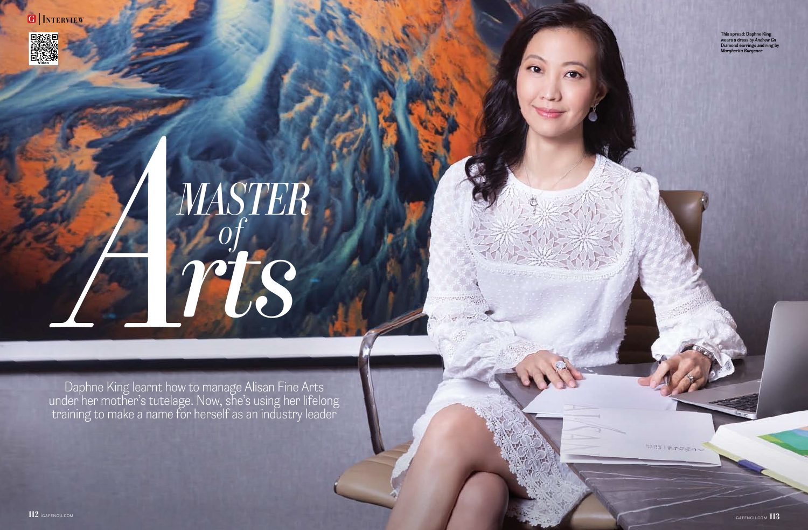This spread: Daphne King wears a dress by Andrew Gn Diamond earrings and ring by Margherita Burgener

WIS FROZA

# MASTER rts of

Daphne King learnt how to manage Alisan Fine Arts under her mother's tutelage. Now, she's using her lifelong training to make a name for herself as an industry leader

 $112$  igafencu.com igafencu.com  $113$ 

G | INTERVIEW

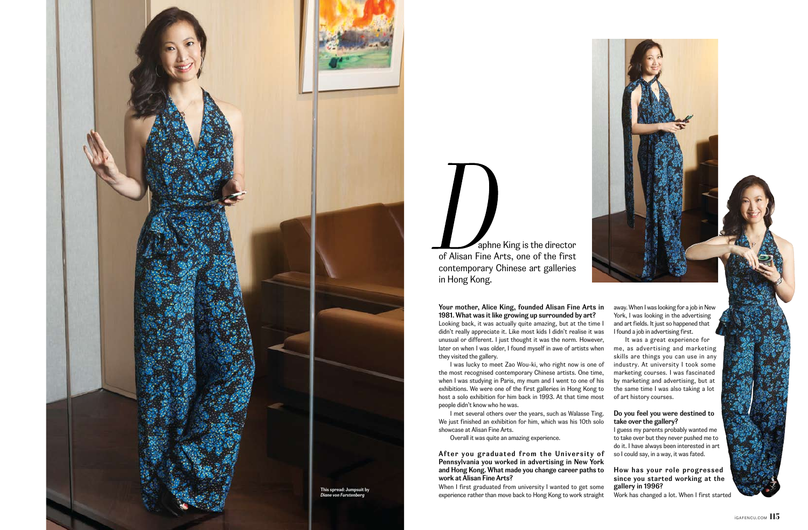Your mother, Alice King, founded Alisan Fine Arts in 1981. What was it like growing up surrounded by art? Looking back, it was actually quite amazing, but at the time I didn't really appreciate it. Like most kids I didn't realise it was unusual or different. I just thought it was the norm. However, later on when I was older, I found myself in awe of artists when they visited the gallery.

I was lucky to meet Zao Wou-ki, who right now is one of the most recognised contemporary Chinese artists. One time, when I was studying in Paris, my mum and I went to one of his exhibitions. We were one of the first galleries in Hong Kong to host a solo exhibition for him back in 1993. At that time most people didn't know who he was.

I met several others over the years, such as Walasse Ting. We just finished an exhibition for him, which was his 10th solo showcase at Alisan Fine Arts.

Overall it was quite an amazing experience.

After you graduated from the University of Pennsylvania you worked in advertising in New York and Hong Kong. What made you change career paths to work at Alisan Fine Arts?

When I first graduated from university I wanted to get some experience rather than move back to Hong Kong to work straight

 aphne King is the director of Alisan Fine Arts, one of the first contemporary Chinese art galleries in Hong Kong.

> away. When I was looking for a job in New York, I was looking in the advertising and art fields. It just so happened that I found a job in advertising first.

> It was a great experience for me, as advertising and marketing skills are things you can use in any industry. At university I took some marketing courses. I was fascinated by marketing and advertising, but at the same time I was also taking a lot of art history courses.

# Do you feel you were destined to take over the gallery?

I guess my parents probably wanted me to take over but they never pushed me to do it. I have always been interested in art so I could say, in a way, it was fated.

# How has your role progressed since you started working at the gallery in 1996?

Work has changed a lot. When I first started

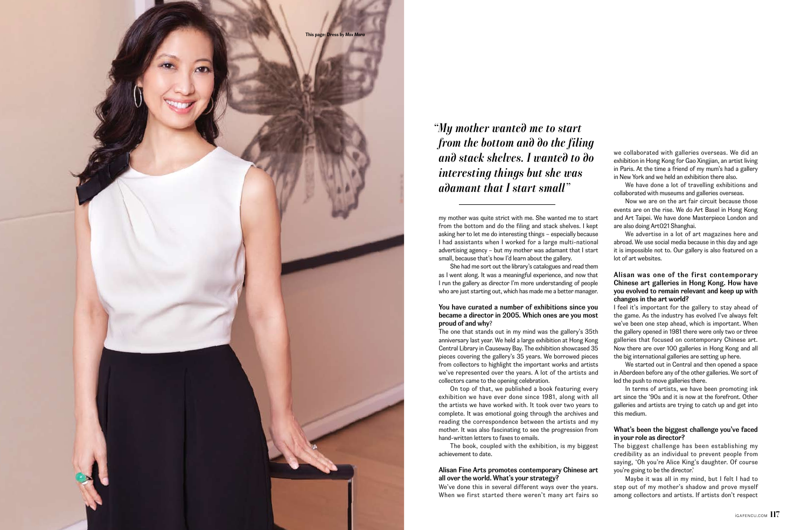my mother was quite strict with me. She wanted me to start from the bottom and do the filing and stack shelves. I kept asking her to let me do interesting things – especially because I had assistants when I worked for a large multi-national advertising agency – but my mother was adamant that I start small, because that's how I'd learn about the gallery.

She had me sort out the library's catalogues and read them as I went along. It was a meaningful experience, and now that I run the gallery as director I'm more understanding of people who are just starting out, which has made me a better manager.

# You have curated a number of exhibitions since you became a director in 2005. Which ones are you most proud of and why?

The one that stands out in my mind was the gallery's 35th anniversary last year. We held a large exhibition at Hong Kong Central Library in Causeway Bay. The exhibition showcased 35 pieces covering the gallery's 35 years. We borrowed pieces from collectors to highlight the important works and artists we've represented over the years. A lot of the artists and collectors came to the opening celebration.

On top of that, we published a book featuring every exhibition we have ever done since 1981, along with all the artists we have worked with. It took over two years to complete. It was emotional going through the archives and reading the correspondence between the artists and my mother. It was also fascinating to see the progression from hand-written letters to faxes to emails.

The book, coupled with the exhibition, is my biggest achievement to date.

# Alisan Fine Arts promotes contemporary Chinese art all over the world. What's your strategy?

We've done this in several different ways over the years. When we first started there weren't many art fairs so

 "My mother wanted me to start from the bottom and do the filing and stack shelves. I wanted to do interesting things but she was adamant that I start small"

we collaborated with galleries overseas. We did an exhibition in Hong Kong for Gao Xingjian, an artist living in Paris. At the time a friend of my mum's had a gallery in New York and we held an exhibition there also.

We have done a lot of travelling exhibitions and collaborated with museums and galleries overseas.

Now we are on the art fair circuit because those events are on the rise. We do Art Basel in Hong Kong and Art Taipei. We have done Masterpiece London and are also doing Art021 Shanghai.

We advertise in a lot of art magazines here and abroad. We use social media because in this day and age it is impossible not to. Our gallery is also featured on a lot of art websites.

# Alisan was one of the first contemporary Chinese art galleries in Hong Kong. How have you evolved to remain relevant and keep up with changes in the art world?

I feel it's important for the gallery to stay ahead of the game. As the industry has evolved I've always felt we've been one step ahead, which is important. When the gallery opened in 1981 there were only two or three galleries that focused on contemporary Chinese art. Now there are over 100 galleries in Hong Kong and all the big international galleries are setting up here.

We started out in Central and then opened a space in Aberdeen before any of the other galleries. We sort of led the push to move galleries there.

In terms of artists, we have been promoting ink art since the '90s and it is now at the forefront. Other galleries and artists are trying to catch up and get into this medium.

### What's been the biggest challenge you've faced in your role as director?

The biggest challenge has been establishing my credibility as an individual to prevent people from saying, 'Oh you're Alice King's daughter. Of course you're going to be the director.'

Maybe it was all in my mind, but I felt I had to step out of my mother's shadow and prove myself among collectors and artists. If artists don't respect